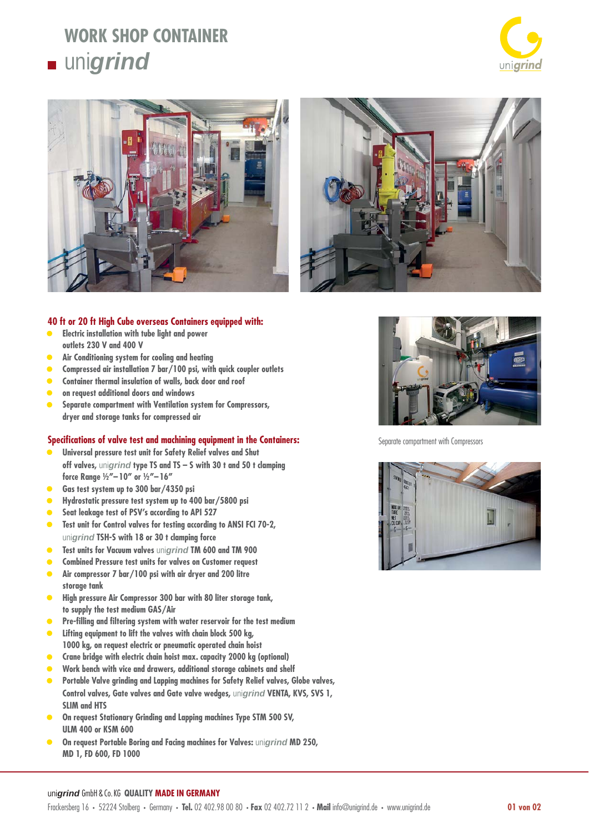## **WORK SHOP CONTAINER unigrind**







### **40 ft or 20 ft High Cube overseas Containers equipped with:**

- **Electric installation with tube light and power outlets 230 V and 400 V**
- **Air Conditioning system for cooling and heating**
- **Compressed air installation 7 bar/100 psi, with quick coupler outlets**
- **Container thermal insulation of walls, back door and roof**
- **on request additional doors and windows**
- **Separate compartment with Ventilation system for Compressors, dryer and storage tanks for compressed air**

#### **Specifi cations of valve test and machining equipment in the Containers:**

- **Universal pressure test unit for Safety Relief valves and Shut off valves,** uni*grind* **type TS and TS – S with 30 t and 50 t clamping force Range ½"– 10" or ½"– 16"**
- **Gas test system up to 300 bar/4350 psi**
- **Hydrostatic pressure test system up to 400 bar/5800 psi**
- **Seat leakage test of PSV's according to API 527**
- **Test unit for Control valves for testing according to ANSI FCI 70-2,**  uni*grind* **TSH-S with 18 or 30 t clamping force**
- **Test units for Vacuum valves** uni*grind* **TM 600 and TM 900**
- **Combined Pressure test units for valves on Customer request**
- **Air compressor 7 bar/100 psi with air dryer and 200 litre storage tank**
- **High pressure Air Compressor 300 bar with 80 liter storage tank, to supply the test medium GAS/Air**
- Pre-filling and filtering system with water reservoir for the test medium
- **Lifting equipment to lift the valves with chain block 500 kg, 1000 kg, on request electric or pneumatic operated chain hoist**
- **Crane bridge with electric chain hoist max. capacity 2000 kg (optional)**
- **Work bench with vice and drawers, additional storage cabinets and shelf**
- **Portable Valve grinding and Lapping machines for Safety Relief valves, Globe valves, Control valves, Gate valves and Gate valve wedges,** uni*grind* **VENTA, KVS, SVS 1, SLIM and HTS**
- **On request Stationary Grinding and Lapping machines Type STM 500 SV, ULM 400 or KSM 600**
- **On request Portable Boring and Facing machines for Valves:** uni*grind* **MD 250, MD 1, FD 600, FD 1000**



Separate compartment with Compressors



#### uni*grind* GmbH & Co. KG **QUALITY MADE IN GERMANY**